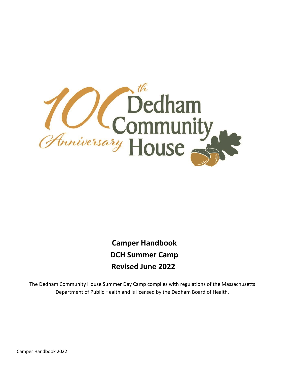

 **Camper Handbook DCH Summer Camp Revised June 2022**

The Dedham Community House Summer Day Camp complies with regulations of the Massachusetts Department of Public Health and is licensed by the Dedham Board of Health.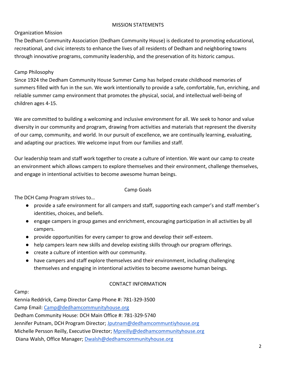#### MISSION STATEMENTS

### Organization Mission

The Dedham Community Association (Dedham Community House) is dedicated to promoting educational, recreational, and civic interests to enhance the lives of all residents of Dedham and neighboring towns through innovative programs, community leadership, and the preservation of its historic campus.

# Camp Philosophy

Since 1924 the Dedham Community House Summer Camp has helped create childhood memories of summers filled with fun in the sun. We work intentionally to provide a safe, comfortable, fun, enriching, and reliable summer camp environment that promotes the physical, social, and intellectual well-being of children ages 4-15.

We are committed to building a welcoming and inclusive environment for all. We seek to honor and value diversity in our community and program, drawing from activities and materials that represent the diversity of our camp, community, and world. In our pursuit of excellence, we are continually learning, evaluating, and adapting our practices. We welcome input from our families and staff.

Our leadership team and staff work together to create a culture of intention. We want our camp to create an environment which allows campers to explore themselves and their environment, challenge themselves, and engage in intentional activities to become awesome human beings.

#### Camp Goals

The DCH Camp Program strives to…

- provide a safe environment for all campers and staff, supporting each camper's and staff member's identities, choices, and beliefs.
- engage campers in group games and enrichment, encouraging participation in all activities by all campers.
- provide opportunities for every camper to grow and develop their self-esteem.
- help campers learn new skills and develop existing skills through our program offerings.
- create a culture of intention with our community.
- have campers and staff explore themselves and their environment, including challenging themselves and engaging in intentional activities to become awesome human beings.

# CONTACT INFORMATION

#### Camp:

Kennia Reddrick, Camp Director Camp Phone #: 781-329-3500

Camp Email: [Camp@dedhamcommunityhouse.org](mailto:Camp@dedhamcommunityhouse.org)

Dedham Community House: DCH Main Office #: 781-329-5740

Jennifer Putnam, DCH Program Director; [Jputnam@dedhamcommuntiyhouse.org](mailto:Jputnam@dedhamcommuntiyhouse.org)

Michelle Persson Reilly, Executive Director; [Mpreilly@dedhamcommunityhouse.org](mailto:Mpreilly@dedhamcommunityhouse.org)

Diana Walsh, Office Manager; [Dwalsh@dedhamcommunityhouse.org](mailto:Dwalsh@dedhamcommunityhouse.org)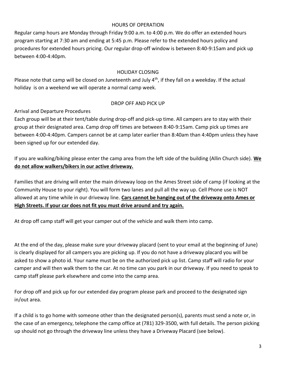#### HOURS OF OPERATION

Regular camp hours are Monday through Friday 9:00 a.m. to 4:00 p.m. We do offer an extended hours program starting at 7:30 am and ending at 5:45 p.m. Please refer to the extended hours policy and procedures for extended hours pricing. Our regular drop-off window is between 8:40-9:15am and pick up between 4:00-4:40pm.

#### HOLIDAY CLOSING

Please note that camp will be closed on Juneteenth and July 4<sup>th</sup>, if they fall on a weekday. If the actual holiday is on a weekend we will operate a normal camp week.

### DROP OFF AND PICK UP

Arrival and Departure Procedures

Each group will be at their tent/table during drop-off and pick-up time. All campers are to stay with their group at their designated area. Camp drop off times are between 8:40-9:15am. Camp pick up times are between 4:00-4:40pm. Campers cannot be at camp later earlier than 8:40am than 4:40pm unless they have been signed up for our extended day.

If you are walking/biking please enter the camp area from the left side of the building (Allin Church side). **We do not allow walkers/bikers in our active driveway.**

Families that are driving will enter the main driveway loop on the Ames Street side of camp (if looking at the Community House to your right). You will form two lanes and pull all the way up. Cell Phone use is NOT allowed at any time while in our driveway line. **Cars cannot be hanging out of the driveway onto Ames or High Streets. If your car does not fit you must drive around and try again.** 

At drop off camp staff will get your camper out of the vehicle and walk them into camp.

At the end of the day, please make sure your driveway placard (sent to your email at the beginning of June) is clearly displayed for all campers you are picking up. If you do not have a driveway placard you will be asked to show a photo id. Your name must be on the authorized pick up list. Camp staff will radio for your camper and will then walk them to the car. At no time can you park in our driveway. If you need to speak to camp staff please park elsewhere and come into the camp area.

For drop off and pick up for our extended day program please park and proceed to the designated sign in/out area.

If a child is to go home with someone other than the designated person(s), parents must send a note or, in the case of an emergency, telephone the camp office at (781) 329-3500, with full details. The person picking up should not go through the driveway line unless they have a Driveway Placard (see below).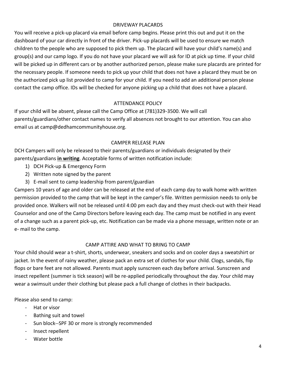#### DRIVEWAY PLACARDS

You will receive a pick-up placard via email before camp begins. Please print this out and put it on the dashboard of your car directly in front of the driver. Pick-up placards will be used to ensure we match children to the people who are supposed to pick them up. The placard will have your child's name(s) and group(s) and our camp logo. If you do not have your placard we will ask for ID at pick up time. If your child will be picked up in different cars or by another authorized person, please make sure placards are printed for the necessary people. If someone needs to pick up your child that does not have a placard they must be on the authorized pick up list provided to camp for your child. If you need to add an additional person please contact the camp office. IDs will be checked for anyone picking up a child that does not have a placard.

# ATTENDANCE POLICY

If your child will be absent, please call the Camp Office at (781)329-3500. We will call parents/guardians/other contact names to verify all absences not brought to our attention. You can also email us at camp@dedhamcommunityhouse.org.

#### CAMPER RELEASE PLAN

DCH Campers will only be released to their parents/guardians or individuals designated by their parents/guardians **in writing**. Acceptable forms of written notification include:

- 1) DCH Pick-up & Emergency Form
- 2) Written note signed by the parent
- 3) E-mail sent to camp leadership from parent/guardian

Campers 10 years of age and older can be released at the end of each camp day to walk home with written permission provided to the camp that will be kept in the camper's file. Written permission needs to only be provided once. Walkers will not be released until 4:00 pm each day and they must check-out with their Head Counselor and one of the Camp Directors before leaving each day. The camp must be notified in any event of a change such as a parent pick-up, etc. Notification can be made via a phone message, written note or an e- mail to the camp.

#### CAMP ATTIRE AND WHAT TO BRING TO CAMP

Your child should wear a t-shirt, shorts, underwear, sneakers and socks and on cooler days a sweatshirt or jacket. In the event of rainy weather, please pack an extra set of clothes for your child. Clogs, sandals, flip flops or bare feet are not allowed. Parents must apply sunscreen each day before arrival. Sunscreen and insect repellent (summer is tick season) will be re-applied periodically throughout the day. Your child may wear a swimsuit under their clothing but please pack a full change of clothes in their backpacks.

Please also send to camp:

- Hat or visor
- Bathing suit and towel
- Sun block--SPF 30 or more is strongly recommended
- Insect repellent
- Water bottle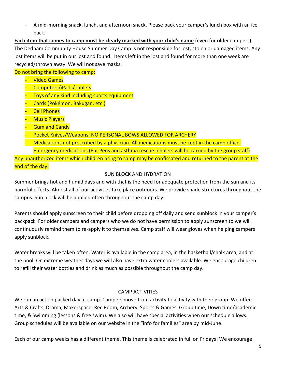- A mid-morning snack, lunch, and afternoon snack. Please pack your camper's lunch box with an ice pack.

**Each item that comes to camp must be clearly marked with your child's name** (even for older campers). The Dedham Community House Summer Day Camp is not responsible for lost, stolen or damaged items. Any lost items will be put in our lost and found. Items left in the lost and found for more than one week are recycled/thrown away. We will not save masks.

Do not bring the following to camp:

- **Video Games**
- Computers/iPads/Tablets
- Toys of any kind including sports equipment
- Cards (Pokémon, Bakugan, etc.)
- **Cell Phones**
- **Music Players**
- **Gum and Candy**
- Pocket Knives/Weapons: NO PERSONAL BOWS ALLOWED FOR ARCHERY
- Medications not prescribed by a physician. All medications must be kept in the camp office. Emergency medications (Epi-Pens and asthma rescue inhalers will be carried by the group staff)

Any unauthorized items which children bring to camp may be confiscated and returned to the parent at the end of the day.

# SUN BLOCK AND HYDRATION

Summer brings hot and humid days and with that is the need for adequate protection from the sun and its harmful effects. Almost all of our activities take place outdoors. We provide shade structures throughout the campus. Sun block will be applied often throughout the camp day.

Parents should apply sunscreen to their child before dropping off daily and send sunblock in your camper's backpack. For older campers and campers who we do not have permission to apply sunscreen to we will continuously remind them to re-apply it to themselves. Camp staff will wear gloves when helping campers apply sunblock.

Water breaks will be taken often. Water is available in the camp area, in the basketball/chalk area, and at the pool. On extreme weather days we will also have extra water coolers available. We encourage children to refill their water bottles and drink as much as possible throughout the camp day.

# CAMP ACTIVITIES

We run an action packed day at camp. Campers move from activity to activity with their group. We offer: Arts & Crafts, Drama, Makerspace, Rec Room, Archery, Sports & Games, Group time, Down time/academic time, & Swimming (lessons & free swim). We also will have special activities when our schedule allows. Group schedules will be available on our website in the "info for families" area by mid-June.

Each of our camp weeks has a different theme. This theme is celebrated in full on Fridays! We encourage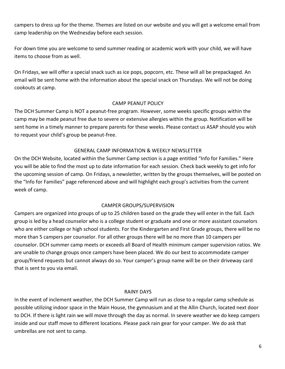campers to dress up for the theme. Themes are listed on our website and you will get a welcome email from camp leadership on the Wednesday before each session.

For down time you are welcome to send summer reading or academic work with your child, we will have items to choose from as well.

On Fridays, we will offer a special snack such as ice pops, popcorn, etc. These will all be prepackaged. An email will be sent home with the information about the special snack on Thursdays. We will not be doing cookouts at camp.

#### CAMP PEANUT POLICY

The DCH Summer Camp is NOT a peanut-free program. However, some weeks specific groups within the camp may be made peanut free due to severe or extensive allergies within the group. Notification will be sent home in a timely manner to prepare parents for these weeks. Please contact us ASAP should you wish to request your child's group be peanut-free.

#### GENERAL CAMP INFORMATION & WEEKLY NEWSLETTER

On the DCH Website, located within the Summer Camp section is a page entitled "Info for Families." Here you will be able to find the most up to date information for each session. Check back weekly to get info for the upcoming session of camp. On Fridays, a newsletter, written by the groups themselves, will be posted on the "Info for Families" page referenced above and will highlight each group's activities from the current week of camp.

#### CAMPER GROUPS/SUPERVISION

Campers are organized into groups of up to 25 children based on the grade they will enter in the fall. Each group is led by a head counselor who is a college student or graduate and one or more assistant counselors who are either college or high school students. For the Kindergarten and First Grade groups, there will be no more than 5 campers per counselor. For all other groups there will be no more than 10 campers per counselor. DCH summer camp meets or exceeds all Board of Health minimum camper supervision ratios. We are unable to change groups once campers have been placed. We do our best to accommodate camper group/friend requests but cannot always do so. Your camper's group name will be on their driveway card that is sent to you via email.

#### RAINY DAYS

In the event of inclement weather, the DCH Summer Camp will run as close to a regular camp schedule as possible utilizing indoor space in the Main House, the gymnasium and at the Allin Church, located next door to DCH. If there is light rain we will move through the day as normal. In severe weather we do keep campers inside and our staff move to different locations. Please pack rain gear for your camper. We do ask that umbrellas are not sent to camp.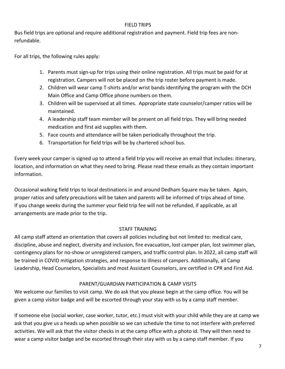#### FIELD TRIPS

Bus field trips are optional and require additional registration and payment. Field trip fees are nonrefundable.

For all trips, the following rules apply:

- 1. Parents must sign-up for trips using their online registration. All trips must be paid for at registration. Campers will not be placed on the trip roster before payment is made.
- 2. Children will wear camp T-shirts and/or wrist bands identifying the program with the DCH Main Office and Camp Office phone numbers on them.
- 3. Children will be supervised at all times. Appropriate state counselor/camper ratios will be maintained.
- 4. A leadership staff team member will be present on all field trips. They will bring needed medication and first aid supplies with them.
- 5. Face counts and attendance will be taken periodically throughout the trip.
- 6. Transportation for field trips will be by chartered school bus.

Every week your camper is signed up to attend a field trip you will receive an email that includes: itinerary, location, and information on what they need to bring. Please read these emails as they contain important information.

Occasional walking field trips to local destinations in and around Dedham Square may be taken. Again, proper ratios and safety precautions will be taken and parents will be informed of trips ahead of time. If you change weeks during the summer your field trip fee will not be refunded, if applicable, as all arrangements are made prior to the trip.

# STAFF TRAINING

All camp staff attend an orientation that covers all policies including but not limited to: medical care, discipline, abuse and neglect, diversity and inclusion, fire evacuation, lost camper plan, lost swimmer plan, contingency plans for no-show or unregistered campers, and traffic control plan. In 2022, all camp staff will be trained in COVID mitigation strategies, and response to illness of campers. Additionally, all Camp Leadership, Head Counselors, Specialists and most Assistant Counselors, are certified in CPR and First Aid.

# PARENT/GUARDIAN PARTICIPATION & CAMP VISITS

We welcome our families to visit camp. We do ask that you please begin at the camp office. You will be given a camp visitor badge and will be escorted through your stay with us by a camp staff member.

If someone else (social worker, case worker, tutor, etc.) must visit with your child while they are at camp we ask that you give us a heads up when possible so we can schedule the time to not interfere with preferred activities. We will ask that the visitor checks in at the camp office with a photo id. They will then need to wear a camp visitor badge and be escorted through their stay with us by a camp staff member. If you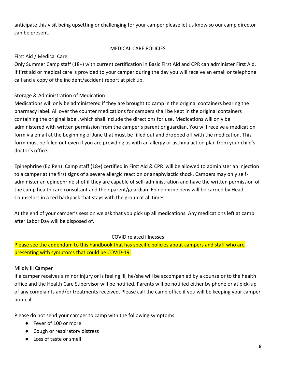anticipate this visit being upsetting or challenging for your camper please let us know so our camp director can be present.

### MEDICAL CARE POLICIES

#### First Aid / Medical Care

Only Summer Camp staff (18+) with current certification in Basic First Aid and CPR can administer First Aid. If first aid or medical care is provided to your camper during the day you will receive an email or telephone call and a copy of the incident/accident report at pick up.

# Storage & Administration of Medication

Medications will only be administered if they are brought to camp in the original containers bearing the pharmacy label. All over the counter medications for campers shall be kept in the original containers containing the original label, which shall include the directions for use. Medications will only be administered with written permission from the camper's parent or guardian. You will receive a medication form via email at the beginning of June that must be filled out and dropped off with the medication. This form must be filled out even if you are providing us with an allergy or asthma action plan from your child's doctor's office.

Epinephrine (EpiPen): Camp staff (18+) certified in First Aid & CPR will be allowed to administer an injection to a camper at the first signs of a severe allergic reaction or anaphylactic shock. Campers may only selfadminister an epinephrine shot if they are capable of self-administration and have the written permission of the camp health care consultant and their parent/guardian. Epinephrine pens will be carried by Head Counselors in a red backpack that stays with the group at all times.

At the end of your camper's session we ask that you pick up all medications. Any medications left at camp after Labor Day will be disposed of.

#### COVID related illnesses

Please see the addendum to this handbook that has specific policies about campers and staff who are presenting with symptoms that could be COVID-19.

#### Mildly Ill Camper

If a camper receives a minor injury or is feeling ill, he/she will be accompanied by a counselor to the health office and the Health Care Supervisor will be notified. Parents will be notified either by phone or at pick-up of any complaints and/or treatments received. Please call the camp office if you will be keeping your camper home ill.

Please do not send your camper to camp with the following symptoms:

- Fever of 100 or more
- Cough or respiratory distress
- Loss of taste or smell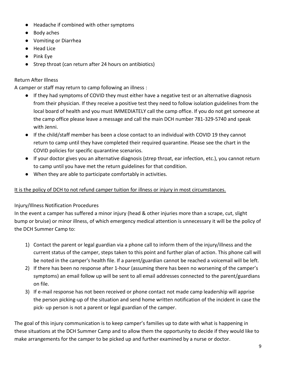- Headache if combined with other symptoms
- Body aches
- Vomiting or Diarrhea
- Head Lice
- Pink Eye
- Strep throat (can return after 24 hours on antibiotics)

# Return After Illness

A camper or staff may return to camp following an illness :

- If they had symptoms of COVID they must either have a negative test or an alternative diagnosis from their physician. If they receive a positive test they need to follow isolation guidelines from the local board of health and you must IMMEDIATELY call the camp office. If you do not get someone at the camp office please leave a message and call the main DCH number 781-329-5740 and speak with Jenni.
- If the child/staff member has been a close contact to an individual with COVID 19 they cannot return to camp until they have completed their required quarantine. Please see the chart in the COVID policies for specific quarantine scenarios.
- If your doctor gives you an alternative diagnosis (strep throat, ear infection, etc.), you cannot return to camp until you have met the return guidelines for that condition.
- When they are able to participate comfortably in activities.

# It is the policy of DCH to not refund camper tuition for illness or injury in most circumstances.

# Injury/Illness Notification Procedures

In the event a camper has suffered a minor injury (head & other injuries more than a scrape, cut, slight bump or bruise) or minor illness, of which emergency medical attention is unnecessary it will be the policy of the DCH Summer Camp to:

- 1) Contact the parent or legal guardian via a phone call to inform them of the injury/illness and the current status of the camper, steps taken to this point and further plan of action. This phone call will be noted in the camper's health file. If a parent/guardian cannot be reached a voicemail will be left.
- 2) If there has been no response after 1-hour (assuming there has been no worsening of the camper's symptoms) an email follow up will be sent to all email addresses connected to the parent/guardians on file.
- 3) If e-mail response has not been received or phone contact not made camp leadership will apprise the person picking-up of the situation and send home written notification of the incident in case the pick- up person is not a parent or legal guardian of the camper.

The goal of this injury communication is to keep camper's families up to date with what is happening in these situations at the DCH Summer Camp and to allow them the opportunity to decide if they would like to make arrangements for the camper to be picked up and further examined by a nurse or doctor.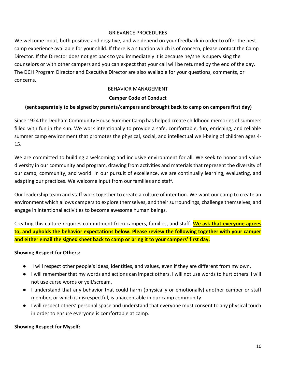#### GRIEVANCE PROCEDURES

We welcome input, both positive and negative, and we depend on your feedback in order to offer the best camp experience available for your child. If there is a situation which is of concern, please contact the Camp Director. If the Director does not get back to you immediately it is because he/she is supervising the counselors or with other campers and you can expect that your call will be returned by the end of the day. The DCH Program Director and Executive Director are also available for your questions, comments, or concerns.

### BEHAVIOR MANAGEMENT

#### **Camper Code of Conduct**

### **(sent separately to be signed by parents/campers and brought back to camp on campers first day)**

Since 1924 the Dedham Community House Summer Camp has helped create childhood memories of summers filled with fun in the sun. We work intentionally to provide a safe, comfortable, fun, enriching, and reliable summer camp environment that promotes the physical, social, and intellectual well-being of children ages 4- 15.

We are committed to building a welcoming and inclusive environment for all. We seek to honor and value diversity in our community and program, drawing from activities and materials that represent the diversity of our camp, community, and world. In our pursuit of excellence, we are continually learning, evaluating, and adapting our practices. We welcome input from our families and staff.

Our leadership team and staff work together to create a culture of intention. We want our camp to create an environment which allows campers to explore themselves, and their surroundings, challenge themselves, and engage in intentional activities to become awesome human beings.

Creating this culture requires commitment from campers, families, and staff. **We ask that everyone agrees to, and upholds the behavior expectations below. Please review the following together with your camper and either email the signed sheet back to camp or bring it to your campers' first day.**

#### **Showing Respect for Others:**

- I will respect other people's ideas, identities, and values, even if they are different from my own.
- I will remember that my words and actions can impact others. I will not use words to hurt others. I will not use curse words or yell/scream.
- I understand that any behavior that could harm (physically or emotionally) another camper or staff member, or which is disrespectful, is unacceptable in our camp community.
- I will respect others' personal space and understand that everyone must consent to any physical touch in order to ensure everyone is comfortable at camp.

#### **Showing Respect for Myself:**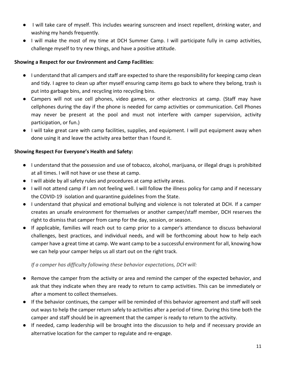- I will take care of myself. This includes wearing sunscreen and insect repellent, drinking water, and washing my hands frequently.
- I will make the most of my time at DCH Summer Camp. I will participate fully in camp activities, challenge myself to try new things, and have a positive attitude.

### **Showing a Respect for our Environment and Camp Facilities:**

- I understand that all campers and staff are expected to share the responsibility for keeping camp clean and tidy. I agree to clean up after myself ensuring camp items go back to where they belong, trash is put into garbage bins, and recycling into recycling bins.
- Campers will not use cell phones, video games, or other electronics at camp. (Staff may have cellphones during the day if the phone is needed for camp activities or communication. Cell Phones may never be present at the pool and must not interfere with camper supervision, activity participation, or fun.)
- I will take great care with camp facilities, supplies, and equipment. I will put equipment away when done using it and leave the activity area better than I found it.

### **Showing Respect For Everyone's Health and Safety:**

- I understand that the possession and use of tobacco, alcohol, marijuana, or illegal drugs is prohibited at all times. I will not have or use these at camp.
- I will abide by all safety rules and procedures at camp activity areas.
- I will not attend camp if I am not feeling well. I will follow the illness policy for camp and if necessary the COVID-19 isolation and quarantine guidelines from the State.
- I understand that physical and emotional bullying and violence is not tolerated at DCH. If a camper creates an unsafe environment for themselves or another camper/staff member, DCH reserves the right to dismiss that camper from camp for the day, session, or season.
- If applicable, families will reach out to camp prior to a camper's attendance to discuss behavioral challenges, best practices, and individual needs, and will be forthcoming about how to help each camper have a great time at camp. We want camp to be a successful environment for all, knowing how we can help your camper helps us all start out on the right track.

# *If a camper has difficulty following these behavior expectations, DCH will:*

- Remove the camper from the activity or area and remind the camper of the expected behavior, and ask that they indicate when they are ready to return to camp activities. This can be immediately or after a moment to collect themselves.
- If the behavior continues, the camper will be reminded of this behavior agreement and staff will seek out ways to help the camper return safely to activities after a period of time. During this time both the camper and staff should be in agreement that the camper is ready to return to the activity.
- If needed, camp leadership will be brought into the discussion to help and if necessary provide an alternative location for the camper to regulate and re-engage.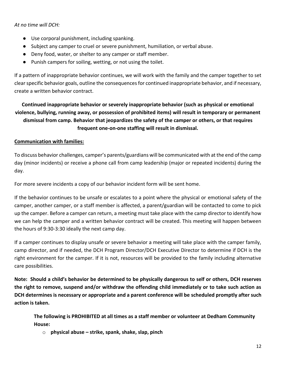*At no time will DCH:*

- Use corporal punishment, including spanking.
- Subject any camper to cruel or severe punishment, humiliation, or verbal abuse.
- Deny food, water, or shelter to any camper or staff member.
- Punish campers for soiling, wetting, or not using the toilet.

If a pattern of inappropriate behavior continues, we will work with the family and the camper together to set clear specific behavior goals, outline the consequences for continued inappropriate behavior, and if necessary, create a written behavior contract.

# **Continued inappropriate behavior or severely inappropriate behavior (such as physical or emotional violence, bullying, running away, or possession of prohibited items) will result in temporary or permanent dismissal from camp. Behavior that jeopardizes the safety of the camper or others, or that requires frequent one-on-one staffing will result in dismissal.**

### **Communication with families:**

To discuss behavior challenges, camper's parents/guardians will be communicated with at the end of the camp day (minor incidents) or receive a phone call from camp leadership (major or repeated incidents) during the day.

For more severe incidents a copy of our behavior incident form will be sent home.

If the behavior continues to be unsafe or escalates to a point where the physical or emotional safety of the camper, another camper, or a staff member is affected, a parent/guardian will be contacted to come to pick up the camper. Before a camper can return, a meeting must take place with the camp director to identify how we can help the camper and a written behavior contract will be created. This meeting will happen between the hours of 9:30-3:30 ideally the next camp day.

If a camper continues to display unsafe or severe behavior a meeting will take place with the camper family, camp director, and if needed, the DCH Program Director/DCH Executive Director to determine if DCH is the right environment for the camper. If it is not, resources will be provided to the family including alternative care possibilities.

**Note: Should a child's behavior be determined to be physically dangerous to self or others, DCH reserves the right to remove, suspend and/or withdraw the offending child immediately or to take such action as DCH determines is necessary or appropriate and a parent conference will be scheduled promptly after such action is taken.**

**The following is PROHIBITED at all times as a staff member or volunteer at Dedham Community House:**

o **physical abuse – strike, spank, shake, slap, pinch**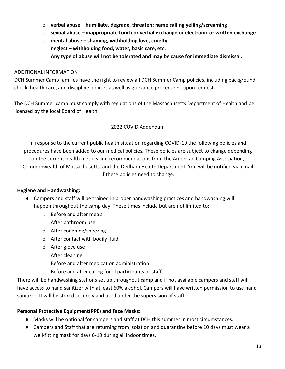- o **verbal abuse – humiliate, degrade, threaten; name calling yelling/screaming**
- o **sexual abuse – inappropriate touch or verbal exchange or electronic or written exchange**
- o **mental abuse – shaming, withholding love, cruelty**
- o **neglect – withholding food, water, basic care, etc.**
- o **Any type of abuse will not be tolerated and may be cause for immediate dismissal.**

#### ADDITIONAL INFORMATION

DCH Summer Camp families have the right to review all DCH Summer Camp policies, including background check, health care, and discipline policies as well as grievance procedures, upon request.

The DCH Summer camp must comply with regulations of the Massachusetts Department of Health and be licensed by the local Board of Health.

### 2022 COVID Addendum

In response to the current public health situation regarding COVID-19 the following policies and procedures have been added to our medical policies. These policies are subject to change depending on the current health metrics and recommendations from the American Camping Association, Commonwealth of Massachusetts, and the Dedham Health Department. You will be notified via email if these policies need to change.

#### **Hygiene and Handwashing:**

- Campers and staff will be trained in proper handwashing practices and handwashing will happen throughout the camp day. These times include but are not limited to:
	- o Before and after meals
	- o After bathroom use
	- o After coughing/sneezing
	- o After contact with bodily fluid
	- o After glove use
	- o After cleaning
	- o Before and after medication administration
	- o Before and after caring for ill participants or staff.

There will be handwashing stations set up throughout camp and if not available campers and staff will have access to hand sanitizer with at least 60% alcohol. Campers will have written permission to use hand sanitizer. It will be stored securely and used under the supervision of staff.

#### **Personal Protective Equipment(PPE) and Face Masks:**

- Masks will be optional for campers and staff at DCH this summer in most circumstances.
- Campers and Staff that are returning from isolation and quarantine before 10 days must wear a well-fitting mask for days 6-10 during all indoor times.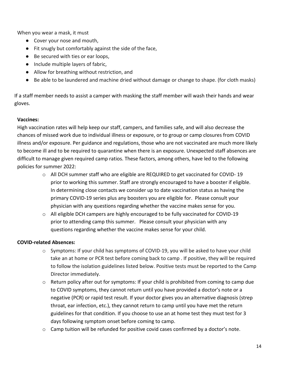When you wear a mask, it must

- Cover your nose and mouth,
- Fit snugly but comfortably against the side of the face,
- Be secured with ties or ear loops,
- Include multiple layers of fabric,
- Allow for breathing without restriction, and
- Be able to be laundered and machine dried without damage or change to shape. (for cloth masks)

If a staff member needs to assist a camper with masking the staff member will wash their hands and wear gloves.

#### **Vaccines:**

High vaccination rates will help keep our staff, campers, and families safe, and will also decrease the chances of missed work due to individual illness or exposure, or to group or camp closures from COVID illness and/or exposure. Per guidance and regulations, those who are not vaccinated are much more likely to become ill and to be required to quarantine when there is an exposure. Unexpected staff absences are difficult to manage given required camp ratios. These factors, among others, have led to the following policies for summer 2022:

- o All DCH summer staff who are eligible are REQUIRED to get vaccinated for COVID- 19 prior to working this summer. Staff are strongly encouraged to have a booster if eligible. In determining close contacts we consider up to date vaccination status as having the primary COVID-19 series plus any boosters you are eligible for. Please consult your physician with any questions regarding whether the vaccine makes sense for you.
- $\circ$  All eligible DCH campers are highly encouraged to be fully vaccinated for COVID-19 prior to attending camp this summer. Please consult your physician with any questions regarding whether the vaccine makes sense for your child.

#### **COVID-related Absences:**

- $\circ$  Symptoms: If your child has symptoms of COVID-19, you will be asked to have your child take an at home or PCR test before coming back to camp . If positive, they will be required to follow the isolation guidelines listed below. Positive tests must be reported to the Camp Director immediately.
- o Return policy after out for symptoms: If your child is prohibited from coming to camp due to COVID symptoms, they cannot return until you have provided a doctor's note or a negative (PCR) or rapid test result. If your doctor gives you an alternative diagnosis (strep throat, ear infection, etc.), they cannot return to camp until you have met the return guidelines for that condition. If you choose to use an at home test they must test for 3 days following symptom onset before coming to camp.
- $\circ$  Camp tuition will be refunded for positive covid cases confirmed by a doctor's note.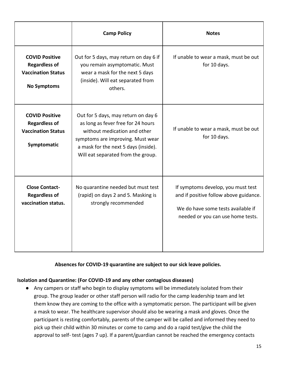|                                                                                                  | <b>Camp Policy</b>                                                                                                                                                                                                           | <b>Notes</b>                                                                                                                                            |
|--------------------------------------------------------------------------------------------------|------------------------------------------------------------------------------------------------------------------------------------------------------------------------------------------------------------------------------|---------------------------------------------------------------------------------------------------------------------------------------------------------|
| <b>COVID Positive</b><br><b>Regardless of</b><br><b>Vaccination Status</b><br><b>No Symptoms</b> | Out for 5 days, may return on day 6 if<br>you remain asymptomatic. Must<br>wear a mask for the next 5 days<br>(inside). Will eat separated from<br>others.                                                                   | If unable to wear a mask, must be out<br>for 10 days.                                                                                                   |
| <b>COVID Positive</b><br><b>Regardless of</b><br><b>Vaccination Status</b><br>Symptomatic        | Out for 5 days, may return on day 6<br>as long as fever free for 24 hours<br>without medication and other<br>symptoms are improving. Must wear<br>a mask for the next 5 days (inside).<br>Will eat separated from the group. | If unable to wear a mask, must be out<br>for 10 days.                                                                                                   |
| <b>Close Contact-</b><br><b>Regardless of</b><br>vaccination status.                             | No quarantine needed but must test<br>(rapid) on days 2 and 5. Masking is<br>strongly recommended                                                                                                                            | If symptoms develop, you must test<br>and if positive follow above guidance.<br>We do have some tests available if<br>needed or you can use home tests. |

**Absences for COVID-19 quarantine are subject to our sick leave policies.** 

#### **Isolation and Quarantine: (For COVID-19 and any other contagious diseases)**

● Any campers or staff who begin to display symptoms will be immediately isolated from their group. The group leader or other staff person will radio for the camp leadership team and let them know they are coming to the office with a symptomatic person. The participant will be given a mask to wear. The healthcare supervisor should also be wearing a mask and gloves. Once the participant is resting comfortably, parents of the camper will be called and informed they need to pick up their child within 30 minutes or come to camp and do a rapid test/give the child the approval to self- test (ages 7 up). If a parent/guardian cannot be reached the emergency contacts